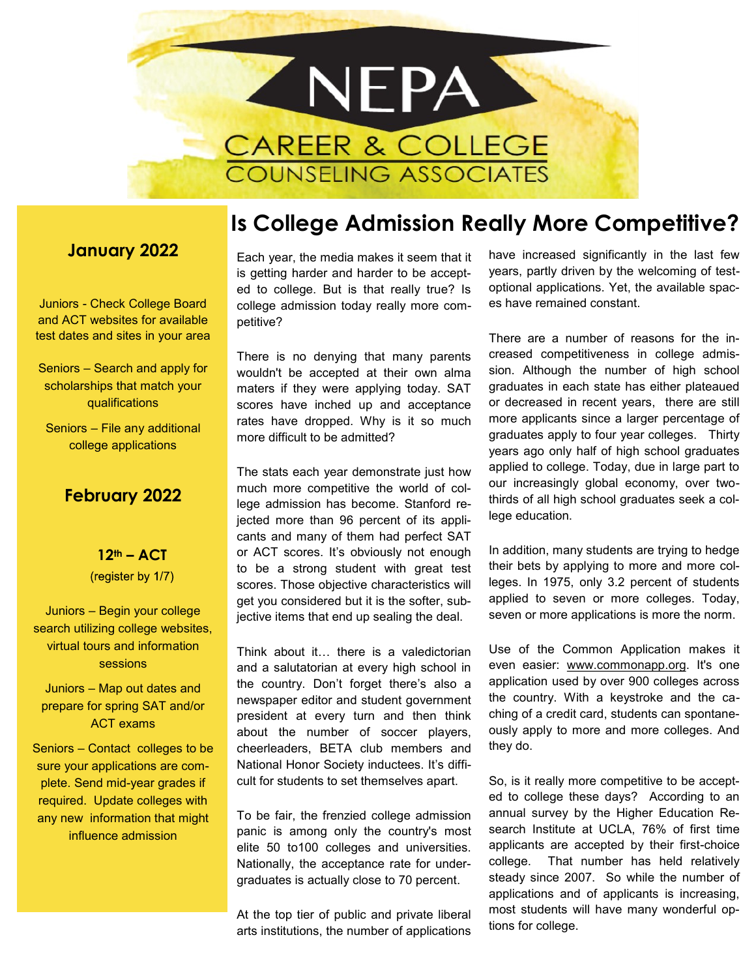

#### **January 2022**

Juniors - Check College Board and ACT websites for available test dates and sites in your area

Seniors – Search and apply for scholarships that match your qualifications

Seniors – File any additional college applications

### **February 2022**

**12th – ACT**  (register by 1/7)

Juniors – Begin your college search utilizing college websites, virtual tours and information sessions

Juniors – Map out dates and prepare for spring SAT and/or ACT exams

Seniors – Contact colleges to be sure your applications are complete. Send mid-year grades if required. Update colleges with any new information that might influence admission

# **Is College Admission Really More Competitive?**

Each year, the media makes it seem that it is getting harder and harder to be accepted to college. But is that really true? Is college admission today really more competitive?

There is no denying that many parents wouldn't be accepted at their own alma maters if they were applying today. SAT scores have inched up and acceptance rates have dropped. Why is it so much more difficult to be admitted?

The stats each year demonstrate just how much more competitive the world of college admission has become. Stanford rejected more than 96 percent of its applicants and many of them had perfect SAT or ACT scores. It's obviously not enough to be a strong student with great test scores. Those objective characteristics will get you considered but it is the softer, subjective items that end up sealing the deal.

Think about it… there is a valedictorian and a salutatorian at every high school in the country. Don't forget there's also a newspaper editor and student government president at every turn and then think about the number of soccer players, cheerleaders, BETA club members and National Honor Society inductees. It's difficult for students to set themselves apart.

To be fair, the frenzied college admission panic is among only the country's most elite 50 to100 colleges and universities. Nationally, the acceptance rate for undergraduates is actually close to 70 percent.

At the top tier of public and private liberal arts institutions, the number of applications

have increased significantly in the last few years, partly driven by the welcoming of testoptional applications. Yet, the available spaces have remained constant.

There are a number of reasons for the increased competitiveness in college admission. Although the number of high school graduates in each state has either plateaued or decreased in recent years, there are still more applicants since a larger percentage of graduates apply to four year colleges. Thirty years ago only half of high school graduates applied to college. Today, due in large part to our increasingly global economy, over twothirds of all high school graduates seek a college education.

In addition, many students are trying to hedge their bets by applying to more and more colleges. In 1975, only 3.2 percent of students applied to seven or more colleges. Today, seven or more applications is more the norm.

Use of the Common Application makes it even easier: [www.commonapp.org.](http://www.commonapp.org) It's one application used by over 900 colleges across the country. With a keystroke and the caching of a credit card, students can spontaneously apply to more and more colleges. And they do.

So, is it really more competitive to be accepted to college these days? According to an annual survey by the Higher Education Research Institute at UCLA, 76% of first time applicants are accepted by their first-choice college. That number has held relatively steady since 2007. So while the number of applications and of applicants is increasing, most students will have many wonderful options for college.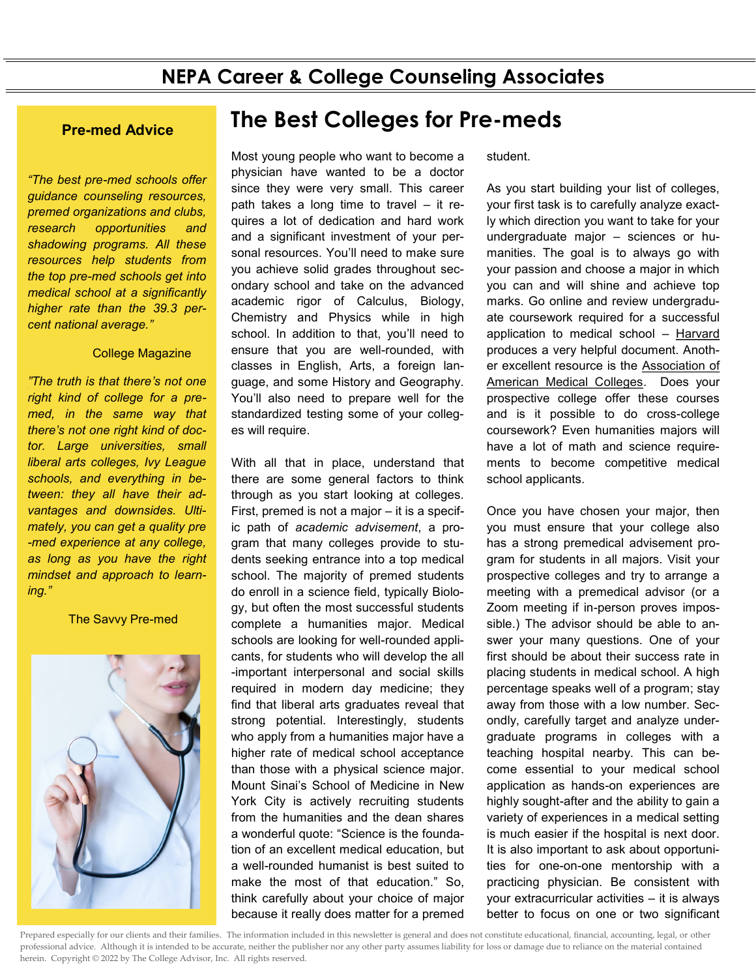*"The best pre-med schools offer guidance counseling resources, premed organizations and clubs, research opportunities and shadowing programs. All these resources help students from the top pre-med schools get into medical school at a significantly higher rate than the 39.3 percent [national average.](https://www.kaptest.com/study/mcat/med-school-admission-by-the-numbers/)"*

#### **College Magazine**

*["](http://www.savvypremed.com/savvy-pre-med/2016/9/28/wnt6ejcu6vykzxr83o0dszoei7lxzv)The truth is that there's not one right kind of college for a premed, in the same way that there's not one right kind of doctor. Large universities, small liberal arts colleges, Ivy League schools, and everything in between: they all have their advantages and downsides. Ultimately, you can get a quality pre -med experience at any college, as long as you have the right mindset and approach to learning."*

**The Savvy Pre-med** 



# **The Best Colleges for Pre-meds Pre-med Advice**

Most young people who want to become a physician have wanted to be a doctor since they were very small. This career path takes a long time to travel – it requires a lot of dedication and hard work and a significant investment of your personal resources. You'll need to make sure you achieve solid grades throughout secondary school and take on the advanced academic rigor of Calculus, Biology, Chemistry and Physics while in high school. In addition to that, you'll need to ensure that you are well-rounded, with classes in English, Arts, a foreign language, and some History and Geography. You'll also need to prepare well for the standardized testing some of your colleges will require.

With all that in place, understand that there are some general factors to think through as you start looking at colleges. First, premed is not a major – it is a specific path of *academic advisement*, a program that many colleges provide to students seeking entrance into a top medical school. The majority of premed students do enroll in a science field, typically Biology, but often the most successful students complete a humanities major. Medical schools are looking for well-rounded applicants, for students who will develop the all -important interpersonal and social skills required in modern day medicine; they find that liberal arts graduates reveal that strong potential. Interestingly, students who apply from a humanities major have a higher rate of medical school acceptance than those with a physical science major. Mount Sinai's School of Medicine in New York City is actively recruiting students from the humanities and the dean shares a wonderful quote: "Science is the foundation of an excellent medical education, but a well-rounded humanist is best suited to make the most of that education." So, think carefully about your choice of major because it really does matter for a premed

student.

As you start building your list of colleges, your first task is to carefully analyze exactly which direction you want to take for your undergraduate major – sciences or humanities. The goal is to always go with your passion and choose a major in which you can and will shine and achieve top marks. Go online and review undergraduate coursework required for a successful application to medical school – [Harvard](http://hwpi.harvard.edu/files/ocs/files/applying-to-medical-school.pdf) produces a very helpful document. Another excellent resource is the [Association of](https://students-residents.aamc.org/applying-medical-school/applying-medical-school-process/)  [American Medical Colleges.](https://students-residents.aamc.org/applying-medical-school/applying-medical-school-process/) Does your prospective college offer these courses and is it possible to do cross-college coursework? Even humanities majors will have a lot of math and science requirements to become competitive medical school applicants.

Once you have chosen your major, then you must ensure that your college also has a strong premedical advisement program for students in all majors. Visit your prospective colleges and try to arrange a meeting with a premedical advisor (or a Zoom meeting if in-person proves impossible.) The advisor should be able to answer your many questions. One of your first should be about their success rate in placing students in medical school. A high percentage speaks well of a program; stay away from those with a low number. Secondly, carefully target and analyze undergraduate programs in colleges with a teaching hospital nearby. This can become essential to your medical school application as hands-on experiences are highly sought-after and the ability to gain a variety of experiences in a medical setting is much easier if the hospital is next door. It is also important to ask about opportunities for one-on-one mentorship with a practicing physician. Be consistent with your extracurricular activities – it is always better to focus on one or two significant

Prepared especially for our clients and their families. The information included in this newsletter is general and does not constitute educational, financial, accounting, legal, or other professional advice. Although it is intended to be accurate, neither the publisher nor any other party assumes liability for loss or damage due to reliance on the material contained herein. Copyright © 2022 by The College Advisor, Inc. All rights reserved.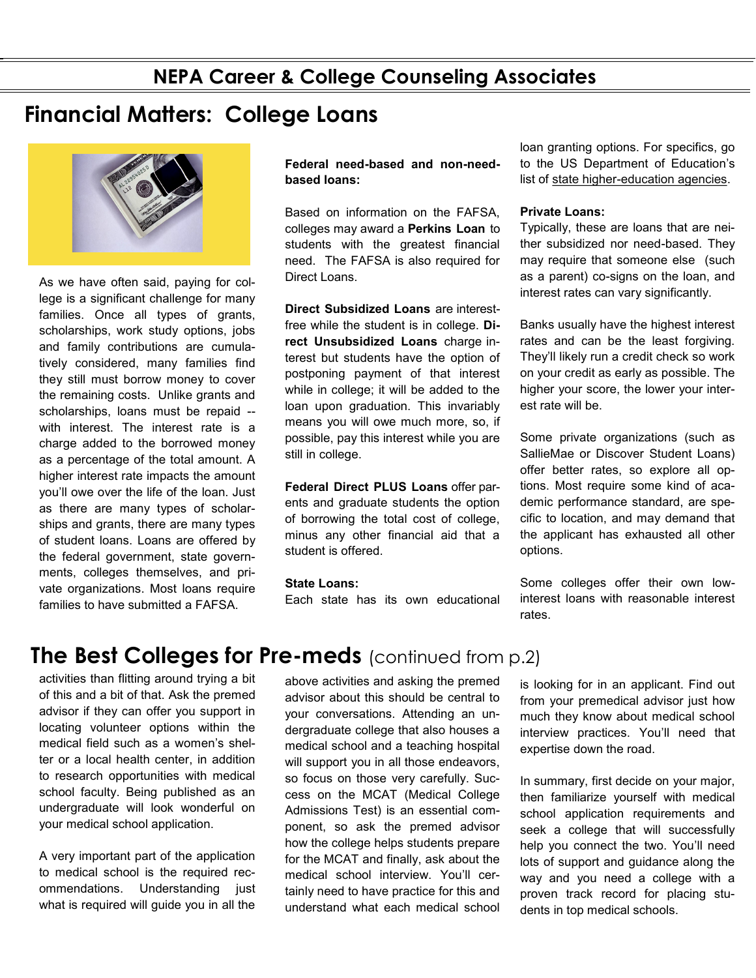### **NEPA Career & College Counseling Associates**

## **Financial Matters: College Loans**



As we have often said, paying for college is a significant challenge for many families. Once all types of grants, scholarships, work study options, jobs and family contributions are cumulatively considered, many families find they still must borrow money to cover the remaining costs. Unlike grants and scholarships, loans must be repaid - with interest. The interest rate is a charge added to the borrowed money as a percentage of the total amount. A higher interest rate impacts the amount you'll owe over the life of the loan. Just as there are many types of scholarships and grants, there are many types of student loans. Loans are offered by the federal government, state governments, colleges themselves, and private organizations. Most loans require families to have submitted a FAFSA.

#### **Federal need-based and non-needbased loans:**

Based on information on the FAFSA, colleges may award a **Perkins Loan** to students with the greatest financial need. The FAFSA is also required for Direct Loans.

**Direct Subsidized Loans** are interestfree while the student is in college. **Direct Unsubsidized Loans** charge interest but students have the option of postponing payment of that interest while in college; it will be added to the loan upon graduation. This invariably means you will owe much more, so, if possible, pay this interest while you are still in college.

**Federal Direct PLUS Loans** offer parents and graduate students the option of borrowing the total cost of college, minus any other financial aid that a student is offered.

#### **State Loans:**

Each state has its own educational

loan granting options. For specifics, go to the US Department of Education's list of state higher-[education agencies.](https://www2.ed.gov/about/contacts/state/index.html) 

#### **Private Loans:**

Typically, these are loans that are neither subsidized nor need-based. They may require that someone else (such as a parent) co-signs on the loan, and interest rates can vary significantly.

Banks usually have the highest interest rates and can be the least forgiving. They'll likely run a credit check so work on your credit as early as possible. The higher your score, the lower your interest rate will be.

Some private organizations (such as SallieMae or Discover Student Loans) offer better rates, so explore all options. Most require some kind of academic performance standard, are specific to location, and may demand that the applicant has exhausted all other options.

Some colleges offer their own lowinterest loans with reasonable interest rates.

## **The Best Colleges for Pre-meds** (continued from p.2)

activities than flitting around trying a bit of this and a bit of that. Ask the premed advisor if they can offer you support in locating volunteer options within the medical field such as a women's shelter or a local health center, in addition to research opportunities with medical school faculty. Being published as an undergraduate will look wonderful on your medical school application.

A very important part of the application to medical school is the required recommendations. Understanding just what is required will guide you in all the above activities and asking the premed advisor about this should be central to your conversations. Attending an undergraduate college that also houses a medical school and a teaching hospital will support you in all those endeavors, so focus on those very carefully. Success on the MCAT (Medical College Admissions Test) is an essential component, so ask the premed advisor how the college helps students prepare for the MCAT and finally, ask about the medical school interview. You'll certainly need to have practice for this and understand what each medical school

is looking for in an applicant. Find out from your premedical advisor just how much they know about medical school interview practices. You'll need that expertise down the road.

In summary, first decide on your major, then familiarize yourself with medical school application requirements and seek a college that will successfully help you connect the two. You'll need lots of support and guidance along the way and you need a college with a proven track record for placing students in top medical schools.